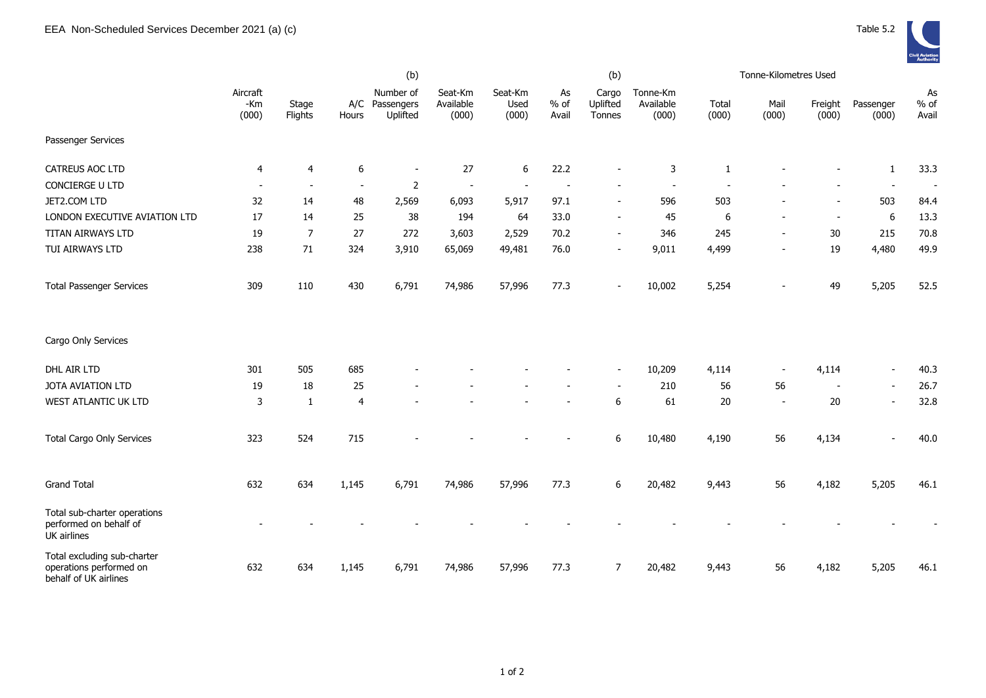

|                                                                                 | (b)                      |                          |                  |                                         |                               |                          |                          | (b)                         |                                |                | Tonne-Kilometres Used |                          |                          |                          |
|---------------------------------------------------------------------------------|--------------------------|--------------------------|------------------|-----------------------------------------|-------------------------------|--------------------------|--------------------------|-----------------------------|--------------------------------|----------------|-----------------------|--------------------------|--------------------------|--------------------------|
|                                                                                 | Aircraft<br>-Km<br>(000) | Stage<br>Flights         | Hours            | Number of<br>A/C Passengers<br>Uplifted | Seat-Km<br>Available<br>(000) | Seat-Km<br>Used<br>(000) | As<br>% of<br>Avail      | Cargo<br>Uplifted<br>Tonnes | Tonne-Km<br>Available<br>(000) | Total<br>(000) | Mail<br>(000)         | Freight<br>(000)         | Passenger<br>(000)       | As<br>$%$ of<br>Avail    |
| Passenger Services                                                              |                          |                          |                  |                                         |                               |                          |                          |                             |                                |                |                       |                          |                          |                          |
| CATREUS AOC LTD                                                                 | 4                        | $\overline{4}$           | $\boldsymbol{6}$ | $\blacksquare$                          | 27                            | 6                        | 22.2                     |                             | 3                              | $\mathbf{1}$   |                       |                          | $\mathbf{1}$             | 33.3                     |
| CONCIERGE U LTD                                                                 | $\overline{\phantom{a}}$ | $\overline{\phantom{a}}$ | $\blacksquare$   | $\overline{2}$                          | $\sim$                        |                          | $\overline{\phantom{a}}$ |                             |                                |                |                       |                          | $\overline{\phantom{a}}$ | $\overline{\phantom{a}}$ |
| JET2.COM LTD                                                                    | 32                       | 14                       | 48               | 2,569                                   | 6,093                         | 5,917                    | 97.1                     |                             | 596                            | 503            |                       |                          | 503                      | 84.4                     |
| LONDON EXECUTIVE AVIATION LTD                                                   | 17                       | 14                       | 25               | 38                                      | 194                           | 64                       | 33.0                     | $\overline{\phantom{a}}$    | 45                             | 6              | $\overline{a}$        | $\blacksquare$           | 6                        | 13.3                     |
| TITAN AIRWAYS LTD                                                               | 19                       | $\overline{7}$           | 27               | 272                                     | 3,603                         | 2,529                    | 70.2                     | $\blacksquare$              | 346                            | 245            | $\blacksquare$        | 30                       | 215                      | 70.8                     |
| TUI AIRWAYS LTD                                                                 | 238                      | 71                       | 324              | 3,910                                   | 65,069                        | 49,481                   | 76.0                     |                             | 9,011                          | 4,499          |                       | 19                       | 4,480                    | 49.9                     |
| <b>Total Passenger Services</b>                                                 | 309                      | 110                      | 430              | 6,791                                   | 74,986                        | 57,996                   | 77.3                     |                             | 10,002                         | 5,254          |                       | 49                       | 5,205                    | 52.5                     |
| Cargo Only Services                                                             |                          |                          |                  |                                         |                               |                          |                          |                             |                                |                |                       |                          |                          |                          |
| DHL AIR LTD                                                                     | 301                      | 505                      | 685              |                                         |                               |                          |                          |                             | 10,209                         | 4,114          |                       | 4,114                    | $\blacksquare$           | 40.3                     |
| JOTA AVIATION LTD                                                               | 19                       | 18                       | 25               |                                         |                               |                          |                          |                             | 210                            | 56             | 56                    | $\overline{\phantom{a}}$ | $\overline{\phantom{a}}$ | 26.7                     |
| WEST ATLANTIC UK LTD                                                            | 3                        | $\mathbf{1}$             | $\overline{4}$   |                                         |                               |                          |                          | $\boldsymbol{6}$            | 61                             | 20             | $\blacksquare$        | 20                       | $\blacksquare$           | 32.8                     |
| <b>Total Cargo Only Services</b>                                                | 323                      | 524                      | 715              |                                         |                               |                          |                          | $\boldsymbol{6}$            | 10,480                         | 4,190          | 56                    | 4,134                    | $\blacksquare$           | 40.0                     |
| <b>Grand Total</b>                                                              | 632                      | 634                      | 1,145            | 6,791                                   | 74,986                        | 57,996                   | 77.3                     | 6                           | 20,482                         | 9,443          | 56                    | 4,182                    | 5,205                    | 46.1                     |
| Total sub-charter operations<br>performed on behalf of<br>UK airlines           |                          |                          |                  |                                         |                               |                          |                          |                             |                                |                |                       |                          |                          |                          |
| Total excluding sub-charter<br>operations performed on<br>behalf of UK airlines | 632                      | 634                      | 1,145            | 6,791                                   | 74,986                        | 57,996                   | 77.3                     | $\overline{7}$              | 20,482                         | 9,443          | 56                    | 4,182                    | 5,205                    | 46.1                     |